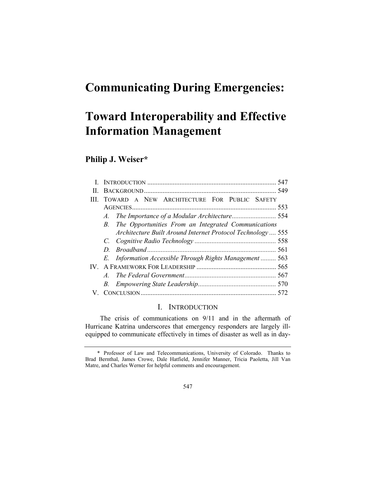# Communicating During Emergencies:

# Toward Interoperability and Effective Information Management

## Philip J. Weiser\*

|    |                                                                    | 547 |
|----|--------------------------------------------------------------------|-----|
| Ш. |                                                                    |     |
| Ш  | TOWARD A NEW ARCHITECTURE FOR PUBLIC SAFETY                        |     |
|    |                                                                    | 553 |
|    |                                                                    |     |
|    | The Opportunities From an Integrated Communications<br>$B_{\cdot}$ |     |
|    | Architecture Built Around Internet Protocol Technology  555        |     |
|    |                                                                    |     |
|    | D.                                                                 |     |
|    | Information Accessible Through Rights Management  563<br>E.        |     |
| IV |                                                                    |     |
|    | $A_{\cdot}$                                                        |     |
|    |                                                                    |     |
|    |                                                                    |     |

### I. INTRODUCTION

The crisis of communications on 9/11 and in the aftermath of Hurricane Katrina underscores that emergency responders are largely illequipped to communicate effectively in times of disaster as well as in day-

 <sup>\*</sup> Professor of Law and Telecommunications, University of Colorado. Thanks to Brad Bernthal, James Crowe, Dale Hatfield, Jennifer Manner, Tricia Paoletta, Jill Van Matre, and Charles Werner for helpful comments and encouragement.

<sup>547</sup>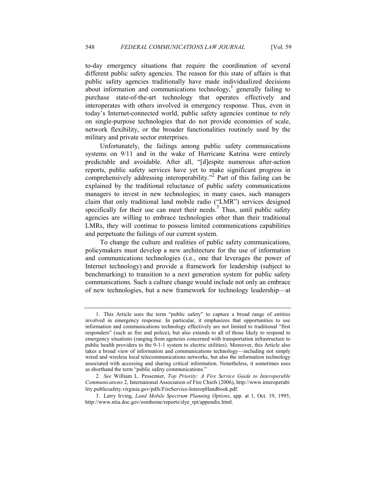to-day emergency situations that require the coordination of several different public safety agencies. The reason for this state of affairs is that public safety agencies traditionally have made individualized decisions about information and communications technology,<sup>1</sup> generally failing to purchase state-of-the-art technology that operates effectively and interoperates with others involved in emergency response. Thus, even in today's Internet-connected world, public safety agencies continue to rely on single-purpose technologies that do not provide economies of scale, network flexibility, or the broader functionalities routinely used by the military and private sector enterprises.

Unfortunately, the failings among public safety communications systems on 9/11 and in the wake of Hurricane Katrina were entirely predictable and avoidable. After all, "[d]espite numerous after-action reports, public safety services have yet to make significant progress in comprehensively addressing interoperability."<sup>2</sup> Part of this failing can be explained by the traditional reluctance of public safety communications managers to invest in new technologies; in many cases, such managers claim that only traditional land mobile radio ("LMR") services designed specifically for their use can meet their needs.<sup>3</sup> Thus, until public safety agencies are willing to embrace technologies other than their traditional LMRs, they will continue to possess limited communications capabilities and perpetuate the failings of our current system.

To change the culture and realities of public safety communications, policymakers must develop a new architecture for the use of information and communications technologies (i.e., one that leverages the power of Internet technology) and provide a framework for leadership (subject to benchmarking) to transition to a next generation system for public safety communications. Such a culture change would include not only an embrace of new technologies, but a new framework for technology leadership—at

 <sup>1.</sup> This Article uses the term "public safety" to capture a broad range of entities involved in emergency response. In particular, it emphasizes that opportunities to use information and communications technology effectively are not limited to traditional "first responders" (such as fire and police), but also extends to all of those likely to respond to emergency situations (ranging from agencies concerned with transportation infrastructure to public health providers to the 9-1-1 system to electric utilities). Moreover, this Article also takes a broad view of information and communications technology—including not simply wired and wireless local telecommunications networks, but also the information technology associated with accessing and sharing critical information. Nonetheless, it sometimes uses as shorthand the term "public safety communications."

<sup>2</sup>. See William L. Pessemier, Top Priority: A Fire Service Guide to Interoperable Communications 2, International Association of Fire Chiefs (2006), http://www.interoperabi lity.publicsafety.virginia.gov/pdfs/FireService-InteropHandbook.pdf.

 <sup>3.</sup> Larry Irving, Land Mobile Spectrum Planning Options, app. at 1, Oct. 19, 1995, http://www.ntia.doc.gov/osmhome/reports/slye\_rpt/appendix.html.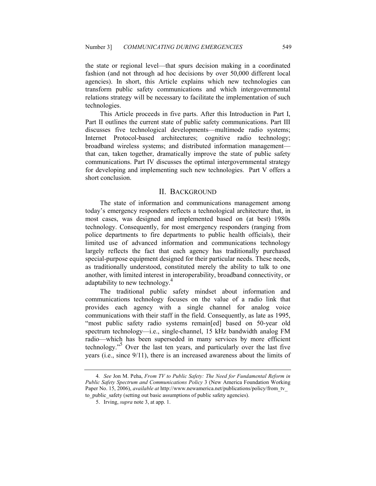the state or regional level—that spurs decision making in a coordinated fashion (and not through ad hoc decisions by over 50,000 different local agencies). In short, this Article explains which new technologies can transform public safety communications and which intergovernmental relations strategy will be necessary to facilitate the implementation of such technologies.

This Article proceeds in five parts. After this Introduction in Part I, Part II outlines the current state of public safety communications. Part III discusses five technological developments—multimode radio systems; Internet Protocol-based architectures; cognitive radio technology; broadband wireless systems; and distributed information management that can, taken together, dramatically improve the state of public safety communications. Part IV discusses the optimal intergovernmental strategy for developing and implementing such new technologies. Part V offers a short conclusion.

#### II. BACKGROUND

The state of information and communications management among today's emergency responders reflects a technological architecture that, in most cases, was designed and implemented based on (at best) 1980s technology. Consequently, for most emergency responders (ranging from police departments to fire departments to public health officials), their limited use of advanced information and communications technology largely reflects the fact that each agency has traditionally purchased special-purpose equipment designed for their particular needs. These needs, as traditionally understood, constituted merely the ability to talk to one another, with limited interest in interoperability, broadband connectivity, or adaptability to new technology.<sup>4</sup>

The traditional public safety mindset about information and communications technology focuses on the value of a radio link that provides each agency with a single channel for analog voice communications with their staff in the field. Consequently, as late as 1995, "most public safety radio systems remain[ed] based on 50-year old spectrum technology—i.e., single-channel, 15 kHz bandwidth analog FM radio—which has been superseded in many services by more efficient technology."<sup>5</sup> Over the last ten years, and particularly over the last five years (i.e., since 9/11), there is an increased awareness about the limits of

<sup>4</sup>. See Jon M. Peha, From TV to Public Safety: The Need for Fundamental Reform in Public Safety Spectrum and Communications Policy 3 (New America Foundation Working Paper No. 15, 2006), *available at* http://www.newamerica.net/publications/policy/from\_tv to public safety (setting out basic assumptions of public safety agencies).

 <sup>5.</sup> Irving, supra note 3, at app. 1.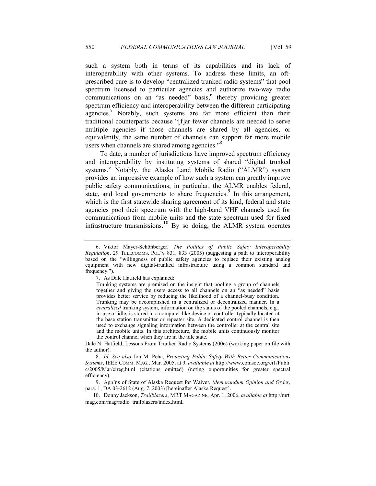such a system both in terms of its capabilities and its lack of interoperability with other systems. To address these limits, an oftprescribed cure is to develop "centralized trunked radio systems" that pool spectrum licensed to particular agencies and authorize two-way radio communications on an "as needed" basis,<sup>6</sup> thereby providing greater spectrum efficiency and interoperability between the different participating agencies.<sup>7</sup> Notably, such systems are far more efficient than their traditional counterparts because "[f]ar fewer channels are needed to serve multiple agencies if those channels are shared by all agencies, or equivalently, the same number of channels can support far more mobile users when channels are shared among agencies."<sup>8</sup>

To date, a number of jurisdictions have improved spectrum efficiency and interoperability by instituting systems of shared "digital trunked systems." Notably, the Alaska Land Mobile Radio ("ALMR") system provides an impressive example of how such a system can greatly improve public safety communications; in particular, the ALMR enables federal, state, and local governments to share frequencies.<sup>9</sup> In this arrangement, which is the first statewide sharing agreement of its kind, federal and state agencies pool their spectrum with the high-band VHF channels used for communications from mobile units and the state spectrum used for fixed infrastructure transmissions.<sup>10</sup> By so doing, the ALMR system operates

 <sup>6.</sup> Viktor Mayer-Schönberger, The Politics of Public Safety Interoperability Regulation, 29 TELECOMMS. POL'Y 831, 833 (2005) (suggesting a path to interoperability based on the "willingness of public safety agencies to replace their existing analog equipment with new digital-trunked infrastructure using a common standard and frequency.").

 <sup>7.</sup> As Dale Hatfield has explained:

Trunking systems are premised on the insight that pooling a group of channels together and giving the users access to all channels on an "as needed" basis provides better service by reducing the likelihood of a channel-busy condition. Trunking may be accomplished in a centralized or decentralized manner. In a centralized trunking system, information on the status of the pooled channels, e.g., in-use or idle, is stored in a computer like device or controller typically located at the base station transmitter or repeater site. A dedicated control channel is then used to exchange signaling information between the controller at the central site and the mobile units. In this architecture, the mobile units continuously monitor the control channel when they are in the idle state.

Dale N. Hatfield, Lessons From Trunked Radio Systems (2006) (working paper on file with the author).

 <sup>8.</sup> Id. See also Jon M. Peha, Protecting Public Safety With Better Communications Systems, IEEE COMM. MAG., Mar. 2005, at 9, available at http://www.comsoc.org/ci1/Publi c/2005/Mar/cireg.html (citations omitted) (noting opportunities for greater spectral efficiency).

 <sup>9.</sup> App'ns of State of Alaska Request for Waiver, Memorandum Opinion and Order, para. 1, DA 03-2612 (Aug. 7, 2003) [hereinafter Alaska Request].

 <sup>10.</sup> Donny Jackson, Trailblazers, MRT MAGAZINE, Apr. 1, 2006, available at http://mrt mag.com/mag/radio\_trailblazers/index.html.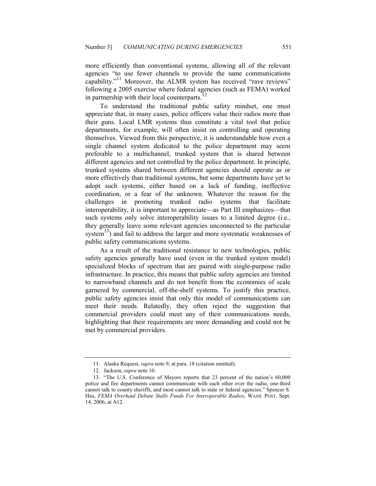more efficiently than conventional systems, allowing all of the relevant agencies "to use fewer channels to provide the same communications capability."<sup>11</sup> Moreover, the ALMR system has received "rave reviews" following a 2005 exercise where federal agencies (such as FEMA) worked in partnership with their local counterparts.<sup>1</sup>

To understand the traditional public safety mindset, one must appreciate that, in many cases, police officers value their radios more than their guns. Local LMR systems thus constitute a vital tool that police departments, for example, will often insist on controlling and operating themselves. Viewed from this perspective, it is understandable how even a single channel system dedicated to the police department may seem preferable to a multichannel, trunked system that is shared between different agencies and not controlled by the police department. In principle, trunked systems shared between different agencies should operate as or more effectively than traditional systems, but some departments have yet to adopt such systems, either based on a lack of funding, ineffective coordination, or a fear of the unknown. Whatever the reason for the challenges in promoting trunked radio systems that facilitate interoperability, it is important to appreciate—as Part III emphasizes—that such systems only solve interoperability issues to a limited degree (i.e., they generally leave some relevant agencies unconnected to the particular system<sup>13</sup>) and fail to address the larger and more systematic weaknesses of public safety communications systems.

As a result of the traditional resistance to new technologies, public safety agencies generally have used (even in the trunked system model) specialized blocks of spectrum that are paired with single-purpose radio infrastructure. In practice, this means that public safety agencies are limited to narrowband channels and do not benefit from the economies of scale garnered by commercial, off-the-shelf systems. To justify this practice, public safety agencies insist that only this model of communications can meet their needs. Relatedly, they often reject the suggestion that commercial providers could meet any of their communications needs, highlighting that their requirements are more demanding and could not be met by commercial providers.

 <sup>11.</sup> Alaska Request, supra note 9, at para. 18 (citation omitted).

 <sup>12.</sup> Jackson, supra note 10.

 <sup>13. &</sup>quot;The U.S. Conference of Mayors reports that 23 percent of the nation's 60,000 police and fire departments cannot communicate with each other over the radio, one-third cannot talk to county sheriffs, and most cannot talk to state or federal agencies." Spencer S. Hsu, FEMA Overhaul Debate Stalls Funds For Interoperable Radios, WASH. POST, Sept. 14, 2006, at A12.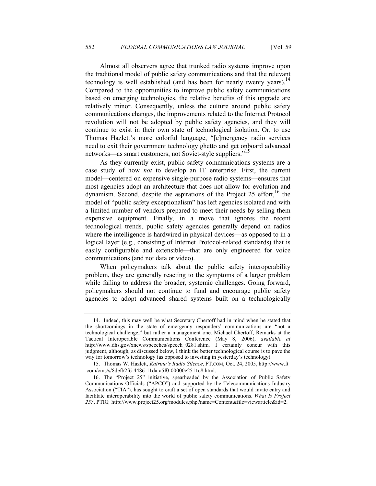Almost all observers agree that trunked radio systems improve upon the traditional model of public safety communications and that the relevant technology is well established (and has been for nearly twenty years).<sup>14</sup> Compared to the opportunities to improve public safety communications based on emerging technologies, the relative benefits of this upgrade are relatively minor. Consequently, unless the culture around public safety communications changes, the improvements related to the Internet Protocol revolution will not be adopted by public safety agencies, and they will continue to exist in their own state of technological isolation. Or, to use Thomas Hazlett's more colorful language, "[e]mergency radio services need to exit their government technology ghetto and get onboard advanced networks—as smart customers, not Soviet-style suppliers."<sup>15</sup>

As they currently exist, public safety communications systems are a case study of how not to develop an IT enterprise. First, the current model—centered on expensive single-purpose radio systems—ensures that most agencies adopt an architecture that does not allow for evolution and dynamism. Second, despite the aspirations of the Project 25 effort,  $16$  the model of "public safety exceptionalism" has left agencies isolated and with a limited number of vendors prepared to meet their needs by selling them expensive equipment. Finally, in a move that ignores the recent technological trends, public safety agencies generally depend on radios where the intelligence is hardwired in physical devices—as opposed to in a logical layer (e.g., consisting of Internet Protocol-related standards) that is easily configurable and extensible—that are only engineered for voice communications (and not data or video).

When policymakers talk about the public safety interoperability problem, they are generally reacting to the symptoms of a larger problem while failing to address the broader, systemic challenges. Going forward, policymakers should not continue to fund and encourage public safety agencies to adopt advanced shared systems built on a technologically

 <sup>14.</sup> Indeed, this may well be what Secretary Chertoff had in mind when he stated that the shortcomings in the state of emergency responders' communications are "not a technological challenge," but rather a management one. Michael Chertoff, Remarks at the Tactical Interoperable Communications Conference (May 8, 2006), available at http://www.dhs.gov/xnews/speeches/speech 0281.shtm. I certainly concur with this judgment, although, as discussed below, I think the better technological course is to pave the way for tomorrow's technology (as opposed to investing in yesterday's technology).

 <sup>15.</sup> Thomas W. Hazlett, Katrina's Radio Silence, FT.COM, Oct. 24, 2005, http://www.ft .com/cms/s/8defb2f6-4486-11da-a5f0-00000e2511c8.html.

 <sup>16.</sup> The "Project 25" initiative, spearheaded by the Association of Public Safety Communications Officials ("APCO") and supported by the Telecommunications Industry Association ("TIA"), has sought to craft a set of open standards that would invite entry and facilitate interoperability into the world of public safety communications. What Is Project 25?, PTIG, http://www.project25.org/modules.php?name=Content&file=viewarticle&id=2.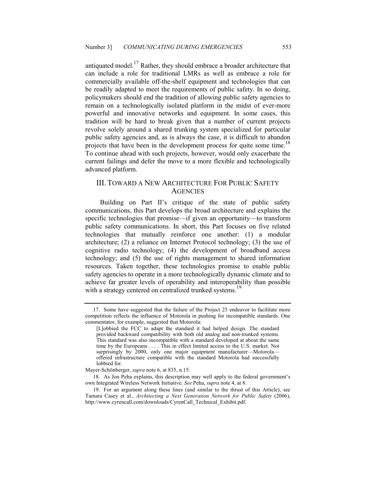antiquated model.17 Rather, they should embrace a broader architecture that can include a role for traditional LMRs as well as embrace a role for commercially available off-the-shelf equipment and technologies that can be readily adapted to meet the requirements of public safety. In so doing, policymakers should end the tradition of allowing public safety agencies to remain on a technologically isolated platform in the midst of ever-more powerful and innovative networks and equipment. In some cases, this tradition will be hard to break given that a number of current projects revolve solely around a shared trunking system specialized for particular public safety agencies and, as is always the case, it is difficult to abandon projects that have been in the development process for quite some time.<sup>18</sup> To continue ahead with such projects, however, would only exacerbate the current failings and defer the move to a more flexible and technologically advanced platform.

#### III. TOWARD A NEW ARCHITECTURE FOR PUBLIC SAFETY **AGENCIES**

Building on Part II's critique of the state of public safety communications, this Part develops the broad architecture and explains the specific technologies that promise—if given an opportunity—to transform public safety communications. In short, this Part focuses on five related technologies that mutually reinforce one another: (1) a modular architecture; (2) a reliance on Internet Protocol technology; (3) the use of cognitive radio technology; (4) the development of broadband access technology; and (5) the use of rights management to shared information resources. Taken together, these technologies promise to enable public safety agencies to operate in a more technologically dynamic climate and to achieve far greater levels of operability and interoperability than possible with a strategy centered on centralized trunked systems.<sup>19</sup>

 <sup>17.</sup> Some have suggested that the failure of the Project 25 endeavor to facilitate more competition reflects the influence of Motorola in pushing for incompatible standards. One commentator, for example, suggested that Motorola:

<sup>[</sup>L]obbied the FCC to adapt the standard it had helped design. The standard provided backward compatibility with both old analog and non-trunked systems. This standard was also incompatible with a standard developed at about the same time by the Europeans . . . . This in effect limited access to the U.S. market. Not surprisingly by 2000, only one major equipment manufacturer—Motorola offered infrastructure compatible with the standard Motorola had successfully lobbied for.

Mayer-Schönberger, supra note 6, at 835, n.15.

 <sup>18.</sup> As Jon Peha explains, this description may well apply to the federal government's own Integrated Wireless Network Initiative. See Peha, supra note 4, at 8.

 <sup>19.</sup> For an argument along these lines (and similar to the thrust of this Article), see Tamara Casey et al., Architecting a Next Generation Network for Public Safety (2006), http://www.cyrencall.com/downloads/CyrenCall\_Technical\_Exhibit.pdf.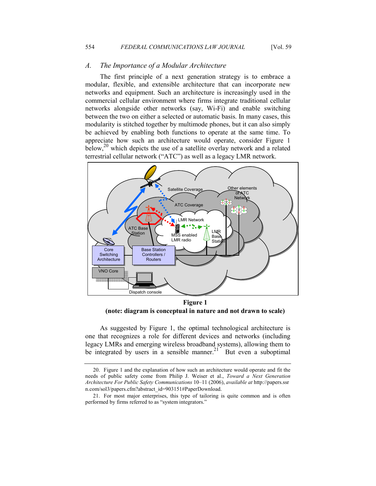#### A. The Importance of a Modular Architecture

The first principle of a next generation strategy is to embrace a modular, flexible, and extensible architecture that can incorporate new networks and equipment. Such an architecture is increasingly used in the commercial cellular environment where firms integrate traditional cellular networks alongside other networks (say, Wi-Fi) and enable switching between the two on either a selected or automatic basis. In many cases, this modularity is stitched together by multimode phones, but it can also simply be achieved by enabling both functions to operate at the same time. To appreciate how such an architecture would operate, consider Figure 1 below,<sup>20</sup> which depicts the use of a satellite overlay network and a related terrestrial cellular network ("ATC") as well as a legacy LMR network.



Figure 1 (note: diagram is conceptual in nature and not drawn to scale)

As suggested by Figure 1, the optimal technological architecture is one that recognizes a role for different devices and networks (including legacy LMRs and emerging wireless broadband systems), allowing them to be integrated by users in a sensible manner.<sup>21</sup> But even a suboptimal

 <sup>20.</sup> Figure 1 and the explanation of how such an architecture would operate and fit the needs of public safety come from Philip J. Weiser et al., Toward a Next Generation Architecture For Public Safety Communications 10–11 (2006), available at http://papers.ssr n.com/sol3/papers.cfm?abstract\_id=903151#PaperDownload.

 <sup>21.</sup> For most major enterprises, this type of tailoring is quite common and is often performed by firms referred to as "system integrators."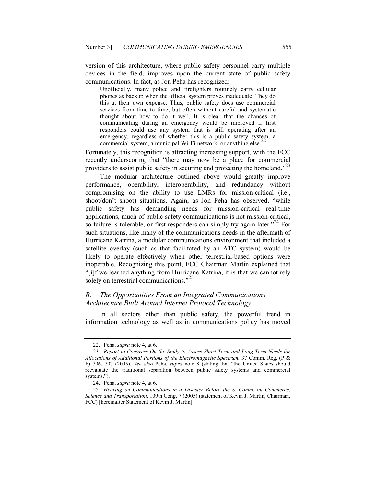version of this architecture, where public safety personnel carry multiple devices in the field, improves upon the current state of public safety communications. In fact, as Jon Peha has recognized:

Unofficially, many police and firefighters routinely carry cellular phones as backup when the official system proves inadequate. They do this at their own expense. Thus, public safety does use commercial services from time to time, but often without careful and systematic thought about how to do it well. It is clear that the chances of communicating during an emergency would be improved if first responders could use any system that is still operating after an emergency, regardless of whether this is a public safety system, a commercial system, a municipal Wi-Fi network, or anything  $else.22$ 

Fortunately, this recognition is attracting increasing support, with the FCC recently underscoring that "there may now be a place for commercial providers to assist public safety in securing and protecting the homeland."<sup>23</sup>

The modular architecture outlined above would greatly improve performance, operability, interoperability, and redundancy without compromising on the ability to use LMRs for mission-critical (i.e., shoot/don't shoot) situations. Again, as Jon Peha has observed, "while public safety has demanding needs for mission-critical real-time applications, much of public safety communications is not mission-critical, so failure is tolerable, or first responders can simply try again later.<sup> $24$ </sup> For such situations, like many of the communications needs in the aftermath of Hurricane Katrina, a modular communications environment that included a satellite overlay (such as that facilitated by an ATC system) would be likely to operate effectively when other terrestrial-based options were inoperable. Recognizing this point, FCC Chairman Martin explained that "[i]f we learned anything from Hurricane Katrina, it is that we cannot rely solely on terrestrial communications."<sup>25</sup>

### B. The Opportunities From an Integrated Communications Architecture Built Around Internet Protocol Technology

In all sectors other than public safety, the powerful trend in information technology as well as in communications policy has moved

 <sup>22.</sup> Peha, supra note 4, at 6.

<sup>23</sup>. Report to Congress On the Study to Assess Short-Term and Long-Term Needs for Allocations of Additional Portions of the Electromagnetic Spectrum, 37 Comm. Reg. (P & F) 706, 707 (2005). See also Peha, supra note 8 (stating that "the United States should reevaluate the traditional separation between public safety systems and commercial systems.").

 <sup>24.</sup> Peha, supra note 4, at 6.

<sup>25</sup>. Hearing on Communications in a Disaster Before the S. Comm. on Commerce, Science and Transportation, 109th Cong. 7 (2005) (statement of Kevin J. Martin, Chairman, FCC) [hereinafter Statement of Kevin J. Martin].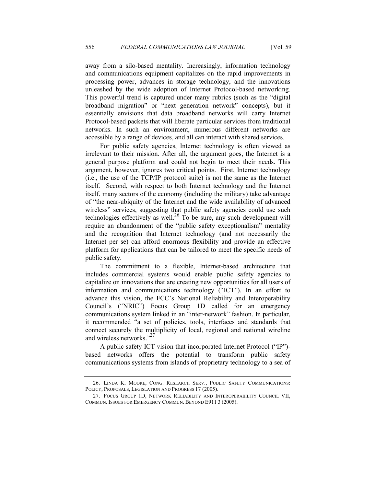away from a silo-based mentality. Increasingly, information technology and communications equipment capitalizes on the rapid improvements in processing power, advances in storage technology, and the innovations unleashed by the wide adoption of Internet Protocol-based networking. This powerful trend is captured under many rubrics (such as the "digital broadband migration" or "next generation network" concepts), but it essentially envisions that data broadband networks will carry Internet Protocol-based packets that will liberate particular services from traditional networks. In such an environment, numerous different networks are accessible by a range of devices, and all can interact with shared services.

For public safety agencies, Internet technology is often viewed as irrelevant to their mission. After all, the argument goes, the Internet is a general purpose platform and could not begin to meet their needs. This argument, however, ignores two critical points. First, Internet technology (i.e., the use of the TCP/IP protocol suite) is not the same as the Internet itself. Second, with respect to both Internet technology and the Internet itself, many sectors of the economy (including the military) take advantage of "the near-ubiquity of the Internet and the wide availability of advanced wireless" services, suggesting that public safety agencies could use such technologies effectively as well.<sup>26</sup> To be sure, any such development will require an abandonment of the "public safety exceptionalism" mentality and the recognition that Internet technology (and not necessarily the Internet per se) can afford enormous flexibility and provide an effective platform for applications that can be tailored to meet the specific needs of public safety.

The commitment to a flexible, Internet-based architecture that includes commercial systems would enable public safety agencies to capitalize on innovations that are creating new opportunities for all users of information and communications technology ("ICT"). In an effort to advance this vision, the FCC's National Reliability and Interoperability Council's ("NRIC") Focus Group 1D called for an emergency communications system linked in an "inter-network" fashion. In particular, it recommended "a set of policies, tools, interfaces and standards that connect securely the multiplicity of local, regional and national wireline and wireless networks."<sup>27</sup>

A public safety ICT vision that incorporated Internet Protocol ("IP") based networks offers the potential to transform public safety communications systems from islands of proprietary technology to a sea of

 <sup>26.</sup> LINDA K. MOORE, CONG. RESEARCH SERV., PUBLIC SAFETY COMMUNICATIONS: POLICY, PROPOSALS, LEGISLATION AND PROGRESS 17 (2005).

 <sup>27.</sup> FOCUS GROUP 1D, NETWORK RELIABILITY AND INTEROPERABILITY COUNCIL VII, COMMUN. ISSUES FOR EMERGENCY COMMUN. BEYOND E911 3 (2005).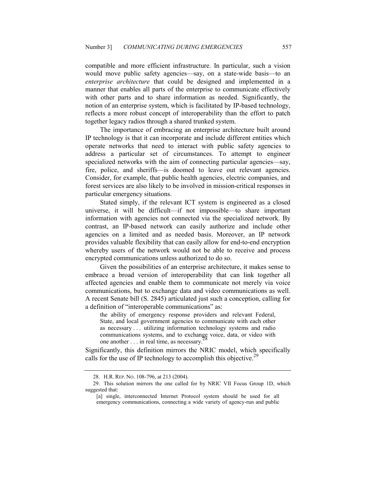compatible and more efficient infrastructure. In particular, such a vision would move public safety agencies—say, on a state-wide basis—to an enterprise architecture that could be designed and implemented in a manner that enables all parts of the enterprise to communicate effectively with other parts and to share information as needed. Significantly, the notion of an enterprise system, which is facilitated by IP-based technology, reflects a more robust concept of interoperability than the effort to patch together legacy radios through a shared trunked system.

The importance of embracing an enterprise architecture built around IP technology is that it can incorporate and include different entities which operate networks that need to interact with public safety agencies to address a particular set of circumstances. To attempt to engineer specialized networks with the aim of connecting particular agencies—say, fire, police, and sheriffs—is doomed to leave out relevant agencies. Consider, for example, that public health agencies, electric companies, and forest services are also likely to be involved in mission-critical responses in particular emergency situations.

Stated simply, if the relevant ICT system is engineered as a closed universe, it will be difficult—if not impossible—to share important information with agencies not connected via the specialized network. By contrast, an IP-based network can easily authorize and include other agencies on a limited and as needed basis. Moreover, an IP network provides valuable flexibility that can easily allow for end-to-end encryption whereby users of the network would not be able to receive and process encrypted communications unless authorized to do so.

Given the possibilities of an enterprise architecture, it makes sense to embrace a broad version of interoperability that can link together all affected agencies and enable them to communicate not merely via voice communications, but to exchange data and video communications as well. A recent Senate bill (S. 2845) articulated just such a conception, calling for a definition of "interoperable communications" as:

the ability of emergency response providers and relevant Federal, State, and local government agencies to communicate with each other as necessary . . . utilizing information technology systems and radio communications systems, and to exchange voice, data, or video with one another . . . in real time, as necessary.<sup>2</sup>

Significantly, this definition mirrors the NRIC model, which specifically calls for the use of IP technology to accomplish this objective.<sup>29</sup>

 <sup>28.</sup> H.R. REP. NO. 108-796, at 213 (2004).

 <sup>29.</sup> This solution mirrors the one called for by NRIC VII Focus Group 1D, which suggested that:

<sup>[</sup>a] single, interconnected Internet Protocol system should be used for all emergency communications, connecting a wide variety of agency-run and public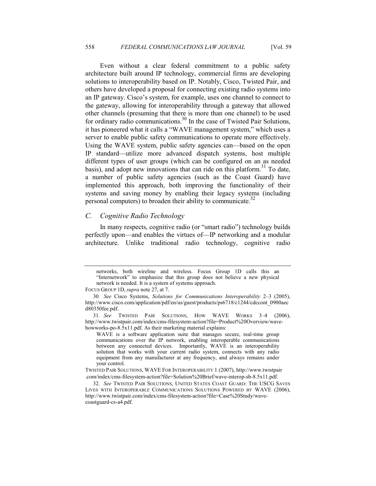Even without a clear federal commitment to a public safety architecture built around IP technology, commercial firms are developing solutions to interoperability based on IP. Notably, Cisco, Twisted Pair, and others have developed a proposal for connecting existing radio systems into an IP gateway. Cisco's system, for example, uses one channel to connect to the gateway, allowing for interoperability through a gateway that allowed other channels (presuming that there is more than one channel) to be used for ordinary radio communications.<sup>30</sup> In the case of Twisted Pair Solutions, it has pioneered what it calls a "WAVE management system," which uses a server to enable public safety communications to operate more effectively. Using the WAVE system, public safety agencies can—based on the open IP standard—utilize more advanced dispatch systems, host multiple different types of user groups (which can be configured on an as needed basis), and adopt new innovations that can ride on this platform.<sup>31</sup> To date, a number of public safety agencies (such as the Coast Guard) have implemented this approach, both improving the functionality of their systems and saving money by enabling their legacy systems (including personal computers) to broaden their ability to communicate.<sup>32</sup>

#### C. Cognitive Radio Technology

In many respects, cognitive radio (or "smart radio") technology builds perfectly upon—and enables the virtues of—IP networking and a modular architecture. Unlike traditional radio technology, cognitive radio

networks, both wireline and wireless. Focus Group 1D calls this an "Internetwork" to emphasize that this group does not believe a new physical network is needed. It is a system of systems approach.

FOCUS GROUP 1D, supra note 27, at 7.

<sup>30</sup>. See Cisco Systems, Solutions for Communications Interoperability 2–3 (2005), http://www.cisco.com/application/pdf/en/us/guest/products/ps6718/c1244/cdccont\_0900aec d80350fee.pdf.

<sup>31</sup>. See TWISTED PAIR SOLUTIONS, HOW WAVE WORKS 3–4 (2006), http://www.twistpair.com/index/cms-filesystem-action?file=Product%20Overview/wavehowworks-po-8.5x11.pdf. As their marketing material explains:

WAVE is a software application suite that manages secure, real-time group communications over the IP network, enabling interoperable communications between any connected devices. Importantly, WAVE is an interoperability solution that works with your current radio system, connects with any radio equipment from any manufacturer at any frequency, and always remains under your control.

TWISTED PAIR SOLUTIONS, WAVE FOR INTEROPERABILITY 1 (2007), http://www.twistpair .com/index/cms-filesystem-action?file=Solution%20Brief/wave-interop-sb-8.5x11.pdf.

<sup>32</sup>. See TWISTED PAIR SOLUTIONS, UNITED STATES COAST GUARD: THE USCG SAVES LIVES WITH INTEROPERABLE COMMUNICATIONS SOLUTIONS POWERED BY WAVE (2006), http://www.twistpair.com/index/cms-filesystem-action?file=Case%20Study/wavecoastguard-cs-a4.pdf.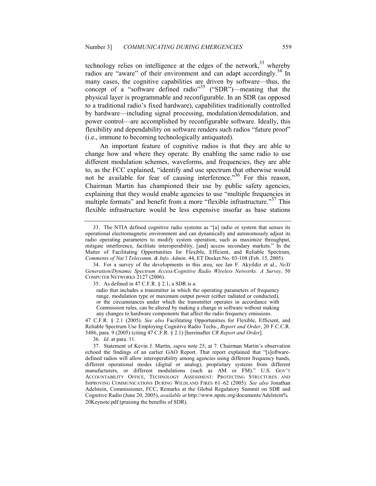technology relies on intelligence at the edges of the network,  $33$  whereby radios are "aware" of their environment and can adapt accordingly.<sup>34</sup> In many cases, the cognitive capabilities are driven by software—thus, the concept of a "software defined radio"<sup>35</sup> ("SDR")—meaning that the physical layer is programmable and reconfigurable. In an SDR (as opposed to a traditional radio's fixed hardware), capabilities traditionally controlled by hardware—including signal processing, modulation/demodulation, and power control—are accomplished by reconfigurable software. Ideally, this flexibility and dependability on software renders such radios "future proof" (i.e., immune to becoming technologically antiquated).

An important feature of cognitive radios is that they are able to change how and where they operate. By enabling the same radio to use different modulation schemes, waveforms, and frequencies, they are able to, as the FCC explained, "identify and use spectrum that otherwise would not be available for fear of causing interference.<sup>36</sup> For this reason, Chairman Martin has championed their use by public safety agencies, explaining that they would enable agencies to use "multiple frequencies in multiple formats" and benefit from a more "flexible infrastructure."<sup>37</sup> This flexible infrastructure would be less expensive insofar as base stations

35. As defined in 47 C.F.R. § 2.1, a SDR is a:

radio that includes a transmitter in which the operating parameters of frequency range, modulation type or maximum output power (either radiated or conducted), or the circumstances under which the transmitter operates in accordance with Commission rules, can be altered by making a change in software without making any changes to hardware components that affect the radio frequency emissions.

47 C.F.R. § 2.1 (2005). See also Facilitating Opportunities for Flexible, Efficient, and Reliable Spectrum Use Employing Cognitive Radio Techs., Report and Order, 20 F.C.C.R. 5486, para. 9 (2005) (citing 47 C.F.R. § 2.1) [hereinafter CR Report and Order].

36. Id. at para. 11.

 <sup>33.</sup> The NTIA defined cognitive radio systems as "[a] radio or system that senses its operational electromagnetic environment and can dynamically and autonomously adjust its radio operating parameters to modify system operation, such as maximize throughput, mitigate interference, facilitate interoperability, [and] access secondary markets." In the Matter of Facilitating Opportunities for Flexible, Efficient, and Reliable Spectrum, Comments of Nat'l Telecomm. & Info. Admin. 44, ET Docket No. 03-108 (Feb. 15, 2005).

<sup>34.</sup> For a survey of the developments in this area, see Ian F. Akyildiz et al.,  $Next$ Generation/Dynamic Spectrum Access/Cognitive Radio Wireless Networks: A Survey, 50 COMPUTER NETWORKS 2127 (2006).

 <sup>37.</sup> Statement of Kevin J. Martin, supra note 25, at 7. Chairman Martin's observation echoed the findings of an earlier GAO Report. That report explained that "[s]oftwaredefined radios will allow interoperability among agencies using different frequency bands, different operational modes (digital or analog), proprietary systems from different manufacturers, or different modulations (such as AM or FM)." U.S. GOV'T ACCOUNTABILITY OFFICE, TECHNOLOGY ASSESSMENT: PROTECTING STRUCTURES AND IMPROVING COMMUNICATIONS DURING WILDLAND FIRES 61–62 (2005). See also Jonathan Adelstein, Commissioner, FCC, Remarks at the Global Regulatory Summit on SDR and Cognitive Radio (June 20, 2005), available at http://www.npstc.org/documents/Adelstein% 20Keynote.pdf (praising the benefits of SDR).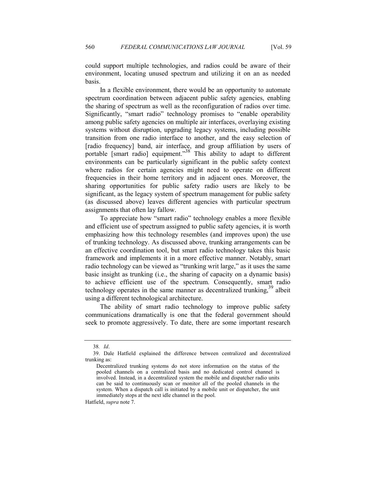could support multiple technologies, and radios could be aware of their environment, locating unused spectrum and utilizing it on an as needed basis.

In a flexible environment, there would be an opportunity to automate spectrum coordination between adjacent public safety agencies, enabling the sharing of spectrum as well as the reconfiguration of radios over time. Significantly, "smart radio" technology promises to "enable operability among public safety agencies on multiple air interfaces, overlaying existing systems without disruption, upgrading legacy systems, including possible transition from one radio interface to another, and the easy selection of [radio frequency] band, air interface, and group affiliation by users of portable [smart radio] equipment."<sup>38</sup> This ability to adapt to different environments can be particularly significant in the public safety context where radios for certain agencies might need to operate on different frequencies in their home territory and in adjacent ones. Moreover, the sharing opportunities for public safety radio users are likely to be significant, as the legacy system of spectrum management for public safety (as discussed above) leaves different agencies with particular spectrum assignments that often lay fallow.

To appreciate how "smart radio" technology enables a more flexible and efficient use of spectrum assigned to public safety agencies, it is worth emphasizing how this technology resembles (and improves upon) the use of trunking technology. As discussed above, trunking arrangements can be an effective coordination tool, but smart radio technology takes this basic framework and implements it in a more effective manner. Notably, smart radio technology can be viewed as "trunking writ large," as it uses the same basic insight as trunking (i.e., the sharing of capacity on a dynamic basis) to achieve efficient use of the spectrum. Consequently, smart radio technology operates in the same manner as decentralized trunking,<sup>39</sup> albeit using a different technological architecture.

The ability of smart radio technology to improve public safety communications dramatically is one that the federal government should seek to promote aggressively. To date, there are some important research

Hatfield, supra note 7.

<sup>38</sup>. Id.

 <sup>39.</sup> Dale Hatfield explained the difference between centralized and decentralized trunking as:

Decentralized trunking systems do not store information on the status of the pooled channels on a centralized basis and no dedicated control channel is involved. Instead, in a decentralized system the mobile and dispatcher radio units can be said to continuously scan or monitor all of the pooled channels in the system. When a dispatch call is initiated by a mobile unit or dispatcher, the unit immediately stops at the next idle channel in the pool.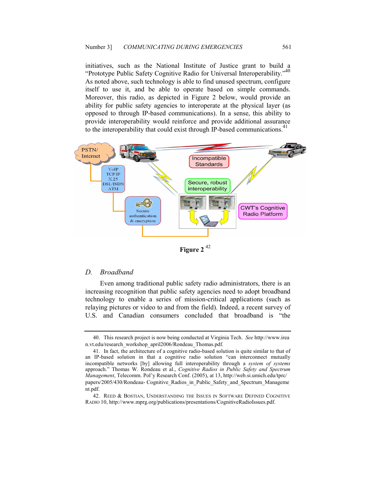initiatives, such as the National Institute of Justice grant to build a "Prototype Public Safety Cognitive Radio for Universal Interoperability."<sup>40</sup> As noted above, such technology is able to find unused spectrum, configure itself to use it, and be able to operate based on simple commands. Moreover, this radio, as depicted in Figure 2 below, would provide an ability for public safety agencies to interoperate at the physical layer (as opposed to through IP-based communications). In a sense, this ability to provide interoperability would reinforce and provide additional assurance to the interoperability that could exist through IP-based communications.<sup>41</sup>



Figure 2<sup>42</sup>

#### D. Broadband

Even among traditional public safety radio administrators, there is an increasing recognition that public safety agencies need to adopt broadband technology to enable a series of mission-critical applications (such as relaying pictures or video to and from the field). Indeed, a recent survey of U.S. and Canadian consumers concluded that broadband is "the

 <sup>40.</sup> This research project is now being conducted at Virginia Tech. See http://www.irea n.vt.edu/research\_workshop\_april2006/Rondeau\_Thomas.pdf.

 <sup>41.</sup> In fact, the architecture of a cognitive radio-based solution is quite similar to that of an IP-based solution in that a cognitive radio solution "can interconnect mutually incompatible networks [by] allowing full interoperability through a system of systems approach." Thomas W. Rondeau et al., Cognitive Radios in Public Safety and Spectrum Management, Telecomm. Pol'y Research Conf. (2005), at 13, http://web.si.umich.edu/tprc/ papers/2005/430/Rondeau- Cognitive\_Radios\_in\_Public\_Safety\_and\_Spectrum\_Manageme nt.pdf.

 <sup>42.</sup> REED & BOSTIAN, UNDERSTANDING THE ISSUES IN SOFTWARE DEFINED COGNITIVE RADIO 10, http://www.mprg.org/publications/presentations/CognitiveRadioIssues.pdf.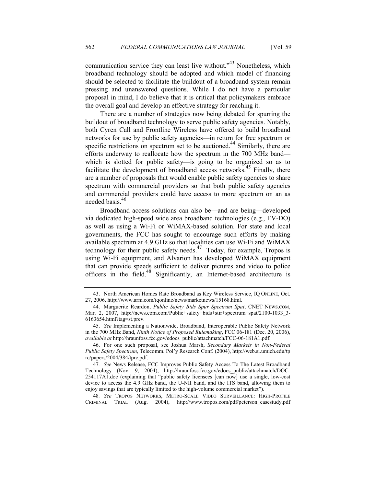communication service they can least live without."43 Nonetheless, which broadband technology should be adopted and which model of financing should be selected to facilitate the buildout of a broadband system remain pressing and unanswered questions. While I do not have a particular proposal in mind, I do believe that it is critical that policymakers embrace the overall goal and develop an effective strategy for reaching it.

There are a number of strategies now being debated for spurring the buildout of broadband technology to serve public safety agencies. Notably, both Cyren Call and Frontline Wireless have offered to build broadband networks for use by public safety agencies—in return for free spectrum or specific restrictions on spectrum set to be auctioned.<sup>44</sup> Similarly, there are efforts underway to reallocate how the spectrum in the 700 MHz band which is slotted for public safety—is going to be organized so as to facilitate the development of broadband access networks.<sup>45</sup> Finally, there are a number of proposals that would enable public safety agencies to share spectrum with commercial providers so that both public safety agencies and commercial providers could have access to more spectrum on an as needed basis.<sup>46</sup>

Broadband access solutions can also be—and are being—developed via dedicated high-speed wide area broadband technologies (e.g., EV-DO) as well as using a Wi-Fi or WiMAX-based solution. For state and local governments, the FCC has sought to encourage such efforts by making available spectrum at 4.9 GHz so that localities can use Wi-Fi and WiMAX technology for their public safety needs.<sup>47</sup> Today, for example, Tropos is using Wi-Fi equipment, and Alvarion has developed WiMAX equipment that can provide speeds sufficient to deliver pictures and video to police officers in the field.48 Significantly, an Internet-based architecture is

 <sup>43.</sup> North American Homes Rate Broadband as Key Wireless Service, IQ ONLINE, Oct. 27, 2006, http://www.arm.com/iqonline/news/marketnews/15168.html.

<sup>44.</sup> Marguerite Reardon, Public Safety Bids Spur Spectrum Spat, CNET NEWS.COM, Mar. 2, 2007, http://news.com.com/Public+safety+bids+stir+spectrum+spat/2100-1033\_3-6163654.html?tag=st.prev.

 <sup>45.</sup> See Implementing a Nationwide, Broadband, Interoperable Public Safety Network in the 700 MHz Band, Ninth Notice of Proposed Rulemaking, FCC 06-181 (Dec. 20, 2006), available at http://hraunfoss.fcc.gov/edocs\_public/attachmatch/FCC-06-181A1.pdf.

 <sup>46.</sup> For one such proposal, see Joshua Marsh, Secondary Markets in Non-Federal Public Safety Spectrum, Telecomm. Pol'y Research Conf. (2004), http://web.si.umich.edu/tp rc/papers/2004/384/tprc.pdf.

<sup>47</sup>. See News Release, FCC Improves Public Safety Access To The Latest Broadband Technology (Nov. 9, 2004), http://hraunfoss.fcc.gov/edocs\_public/attachmatch/DOC-254117A1.doc (explaining that "public safety licensees [can now] use a single, low-cost device to access the 4.9 GHz band, the U-NII band, and the ITS band, allowing them to enjoy savings that are typically limited to the high-volume commercial market").

<sup>48</sup>. See TROPOS NETWORKS, METRO-SCALE VIDEO SURVEILLANCE: HIGH-PROFILE CRIMINAL TRIAL (Aug. 2004), http://www.tropos.com/pdf/peterson\_casestudy.pdf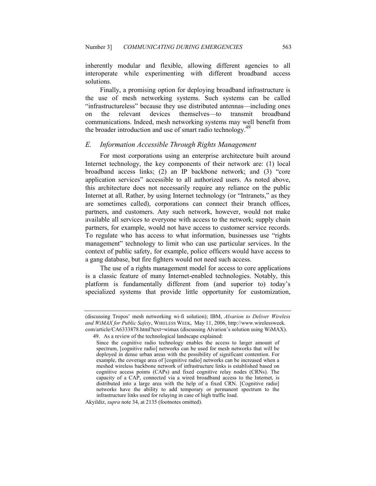inherently modular and flexible, allowing different agencies to all interoperate while experimenting with different broadband access solutions.

Finally, a promising option for deploying broadband infrastructure is the use of mesh networking systems. Such systems can be called "infrastructureless" because they use distributed antennas—including ones on the relevant devices themselves—to transmit broadband communications. Indeed, mesh networking systems may well benefit from the broader introduction and use of smart radio technology.<sup>49</sup>

#### E. Information Accessible Through Rights Management

For most corporations using an enterprise architecture built around Internet technology, the key components of their network are: (1) local broadband access links; (2) an IP backbone network; and (3) "core application services" accessible to all authorized users. As noted above, this architecture does not necessarily require any reliance on the public Internet at all. Rather, by using Internet technology (or "Intranets," as they are sometimes called), corporations can connect their branch offices, partners, and customers. Any such network, however, would not make available all services to everyone with access to the network; supply chain partners, for example, would not have access to customer service records. To regulate who has access to what information, businesses use "rights management" technology to limit who can use particular services. In the context of public safety, for example, police officers would have access to a gang database, but fire fighters would not need such access.

The use of a rights management model for access to core applications is a classic feature of many Internet-enabled technologies. Notably, this platform is fundamentally different from (and superior to) today's specialized systems that provide little opportunity for customization,

Akyildiz, supra note 34, at 2135 (footnotes omitted).

<sup>(</sup>discussing Tropos' mesh networking wi-fi solution); IBM, Alvarion to Deliver Wireless and WiMAX for Public Safety, WIRELESS WEEK, May 11, 2006, http://www.wirelessweek. com/article/CA6333878.html?text=wimax (discussing Alvarion's solution using WiMAX).

 <sup>49.</sup> As a review of the technological landscape explained:

Since the cognitive radio technology enables the access to larger amount of spectrum, [cognitive radio] networks can be used for mesh networks that will be deployed in dense urban areas with the possibility of significant contention. For example, the coverage area of [cognitive radio] networks can be increased when a meshed wireless backbone network of infrastructure links is established based on cognitive access points (CAPs) and fixed cognitive relay nodes (CRNs). The capacity of a CAP, connected via a wired broadband access to the Internet, is distributed into a large area with the help of a fixed CRN. [Cognitive radio] networks have the ability to add temporary or permanent spectrum to the infrastructure links used for relaying in case of high traffic load.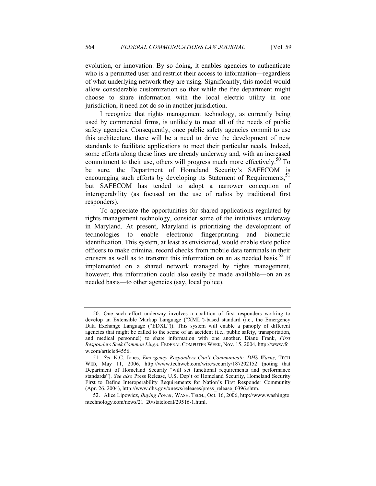evolution, or innovation. By so doing, it enables agencies to authenticate who is a permitted user and restrict their access to information—regardless of what underlying network they are using. Significantly, this model would allow considerable customization so that while the fire department might choose to share information with the local electric utility in one jurisdiction, it need not do so in another jurisdiction.

I recognize that rights management technology, as currently being used by commercial firms, is unlikely to meet all of the needs of public safety agencies. Consequently, once public safety agencies commit to use this architecture, there will be a need to drive the development of new standards to facilitate applications to meet their particular needs. Indeed, some efforts along these lines are already underway and, with an increased commitment to their use, others will progress much more effectively.<sup>50</sup> To be sure, the Department of Homeland Security's SAFECOM is encouraging such efforts by developing its Statement of Requirements,<sup>51</sup> but SAFECOM has tended to adopt a narrower conception of interoperability (as focused on the use of radios by traditional first responders).

To appreciate the opportunities for shared applications regulated by rights management technology, consider some of the initiatives underway in Maryland. At present, Maryland is prioritizing the development of technologies to enable electronic fingerprinting and biometric identification. This system, at least as envisioned, would enable state police officers to make criminal record checks from mobile data terminals in their cruisers as well as to transmit this information on an as needed basis.<sup>52</sup> If implemented on a shared network managed by rights management, however, this information could also easily be made available—on an as needed basis—to other agencies (say, local police).

 <sup>50.</sup> One such effort underway involves a coalition of first responders working to develop an Extensible Markup Language ("XML")-based standard (i.e., the Emergency Data Exchange Language ("EDXL")). This system will enable a panoply of different agencies that might be called to the scene of an accident (i.e., public safety, transportation, and medical personnel) to share information with one another. Diane Frank, First Responders Seek Common Lingo, FEDERAL COMPUTER WEEK, Nov. 15, 2004, http://www.fc w.com/article84556.

<sup>51</sup>. See K.C. Jones, Emergency Responders Can't Communicate, DHS Warns, TECH WEB, May 11, 2006, http://www.techweb.com/wire/security/187202152 (noting that Department of Homeland Security "will set functional requirements and performance standards"). See also Press Release, U.S. Dep't of Homeland Security, Homeland Security First to Define Interoperability Requirements for Nation's First Responder Community (Apr. 26, 2004), http://www.dhs.gov/xnews/releases/press\_release\_0396.shtm.

 <sup>52.</sup> Alice Lipowicz, Buying Power, WASH. TECH., Oct. 16, 2006, http://www.washingto ntechnology.com/news/21\_20/statelocal/29516-1.html.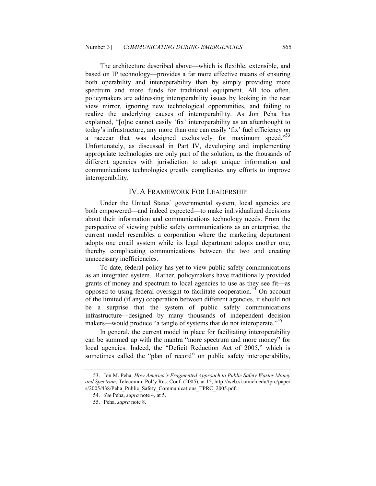The architecture described above—which is flexible, extensible, and based on IP technology—provides a far more effective means of ensuring both operability and interoperability than by simply providing more spectrum and more funds for traditional equipment. All too often, policymakers are addressing interoperability issues by looking in the rear view mirror, ignoring new technological opportunities, and failing to realize the underlying causes of interoperability. As Jon Peha has explained, "[o]ne cannot easily 'fix' interoperability as an afterthought to today's infrastructure, any more than one can easily 'fix' fuel efficiency on a racecar that was designed exclusively for maximum speed."<sup>53</sup> Unfortunately, as discussed in Part IV, developing and implementing appropriate technologies are only part of the solution, as the thousands of different agencies with jurisdiction to adopt unique information and communications technologies greatly complicates any efforts to improve interoperability.

#### IV. A FRAMEWORK FOR LEADERSHIP

Under the United States' governmental system, local agencies are both empowered—and indeed expected—to make individualized decisions about their information and communications technology needs. From the perspective of viewing public safety communications as an enterprise, the current model resembles a corporation where the marketing department adopts one email system while its legal department adopts another one, thereby complicating communications between the two and creating unnecessary inefficiencies.

To date, federal policy has yet to view public safety communications as an integrated system. Rather, policymakers have traditionally provided grants of money and spectrum to local agencies to use as they see fit—as opposed to using federal oversight to facilitate cooperation.<sup>54</sup> On account of the limited (if any) cooperation between different agencies, it should not be a surprise that the system of public safety communications infrastructure—designed by many thousands of independent decision makers—would produce "a tangle of systems that do not interoperate."<sup>55</sup>

In general, the current model in place for facilitating interoperability can be summed up with the mantra "more spectrum and more money" for local agencies. Indeed, the "Deficit Reduction Act of 2005," which is sometimes called the "plan of record" on public safety interoperability,

 <sup>53.</sup> Jon M. Peha, How America's Fragmented Approach to Public Safety Wastes Money and Spectrum, Telecomm. Pol'y Res. Conf. (2005), at 15, http://web.si.umich.edu/tprc/paper s/2005/438/Peha\_Public\_Safety\_Communications\_TPRC\_2005.pdf.

 <sup>54.</sup> See Peha, supra note 4, at 5.

 <sup>55.</sup> Peha, supra note 8.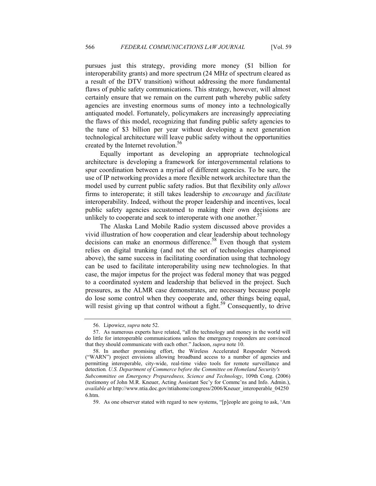pursues just this strategy, providing more money (\$1 billion for interoperability grants) and more spectrum (24 MHz of spectrum cleared as a result of the DTV transition) without addressing the more fundamental flaws of public safety communications. This strategy, however, will almost certainly ensure that we remain on the current path whereby public safety agencies are investing enormous sums of money into a technologically antiquated model. Fortunately, policymakers are increasingly appreciating the flaws of this model, recognizing that funding public safety agencies to the tune of \$3 billion per year without developing a next generation technological architecture will leave public safety without the opportunities created by the Internet revolution.<sup>56</sup>

Equally important as developing an appropriate technological architecture is developing a framework for intergovernmental relations to spur coordination between a myriad of different agencies. To be sure, the use of IP networking provides a more flexible network architecture than the model used by current public safety radios. But that flexibility only *allows* firms to interoperate; it still takes leadership to encourage and facilitate interoperability. Indeed, without the proper leadership and incentives, local public safety agencies accustomed to making their own decisions are unlikely to cooperate and seek to interoperate with one another.<sup>57</sup>

The Alaska Land Mobile Radio system discussed above provides a vivid illustration of how cooperation and clear leadership about technology decisions can make an enormous difference.<sup>58</sup> Even though that system relies on digital trunking (and not the set of technologies championed above), the same success in facilitating coordination using that technology can be used to facilitate interoperability using new technologies. In that case, the major impetus for the project was federal money that was pegged to a coordinated system and leadership that believed in the project. Such pressures, as the ALMR case demonstrates, are necessary because people do lose some control when they cooperate and, other things being equal, will resist giving up that control without a fight.<sup>59</sup> Consequently, to drive

 <sup>56.</sup> Lipowicz, supra note 52.

 <sup>57.</sup> As numerous experts have related, "all the technology and money in the world will do little for interoperable communications unless the emergency responders are convinced that they should communicate with each other." Jackson, supra note 10.

 <sup>58.</sup> In another promising effort, the Wireless Accelerated Responder Network ("WARN") project envisions allowing broadband access to a number of agencies and permitting interoperable, city-wide, real-time video tools for remote surveillance and detection. U.S. Department of Commerce before the Committee on Homeland Security's Subcommittee on Emergency Preparedness, Science and Technology, 109th Cong. (2006) (testimony of John M.R. Kneuer, Acting Assistant Sec'y for Commc'ns and Info. Admin.), available at http://www.ntia.doc.gov/ntiahome/congress/2006/Kneuer\_interoperable\_04250 6.htm.

 <sup>59.</sup> As one observer stated with regard to new systems, "[p]eople are going to ask, 'Am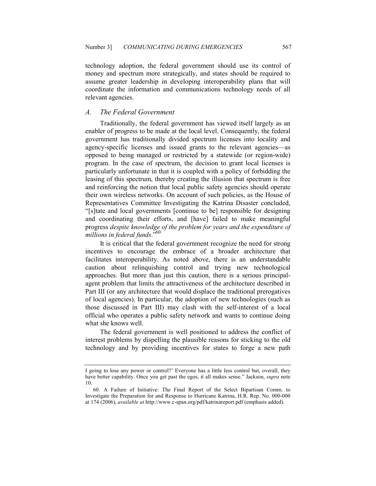technology adoption, the federal government should use its control of money and spectrum more strategically, and states should be required to assume greater leadership in developing interoperability plans that will coordinate the information and communications technology needs of all relevant agencies.

#### A. The Federal Government

Traditionally, the federal government has viewed itself largely as an enabler of progress to be made at the local level. Consequently, the federal government has traditionally divided spectrum licenses into locality and agency-specific licenses and issued grants to the relevant agencies—as opposed to being managed or restricted by a statewide (or region-wide) program. In the case of spectrum, the decision to grant local licenses is particularly unfortunate in that it is coupled with a policy of forbidding the leasing of this spectrum, thereby creating the illusion that spectrum is free and reinforcing the notion that local public safety agencies should operate their own wireless networks. On account of such policies, as the House of Representatives Committee Investigating the Katrina Disaster concluded, "[s]tate and local governments [continue to be] responsible for designing and coordinating their efforts, and [have] failed to make meaningful progress despite knowledge of the problem for years and the expenditure of millions in federal funds."<sup>60</sup>

It is critical that the federal government recognize the need for strong incentives to encourage the embrace of a broader architecture that facilitates interoperability. As noted above, there is an understandable caution about relinquishing control and trying new technological approaches. But more than just this caution, there is a serious principalagent problem that limits the attractiveness of the architecture described in Part III (or any architecture that would displace the traditional prerogatives of local agencies). In particular, the adoption of new technologies (such as those discussed in Part III) may clash with the self-interest of a local official who operates a public safety network and wants to continue doing what she knows well.

The federal government is well positioned to address the conflict of interest problems by dispelling the plausible reasons for sticking to the old technology and by providing incentives for states to forge a new path

I going to lose any power or control?' Everyone has a little less control but, overall, they have better capability. Once you get past the egos, it all makes sense." Jackson, *supra* note 10.

 <sup>60.</sup> A Failure of Initiative: The Final Report of the Select Bipartisan Comm. to Investigate the Preparation for and Response to Hurricane Katrina, H.R. Rep. No. 000-000 at 174 (2006), *available at* http://www.c-span.org/pdf/katrinareport.pdf (emphasis added).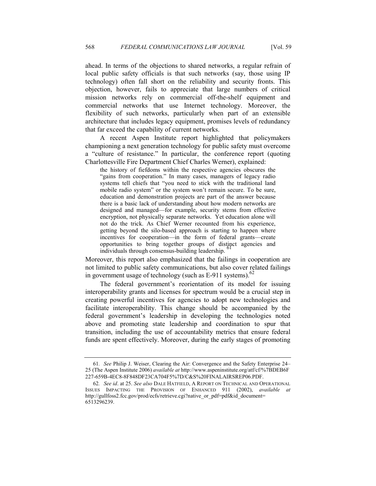ahead. In terms of the objections to shared networks, a regular refrain of local public safety officials is that such networks (say, those using IP technology) often fall short on the reliability and security fronts. This objection, however, fails to appreciate that large numbers of critical mission networks rely on commercial off-the-shelf equipment and commercial networks that use Internet technology. Moreover, the flexibility of such networks, particularly when part of an extensible architecture that includes legacy equipment, promises levels of redundancy that far exceed the capability of current networks.

A recent Aspen Institute report highlighted that policymakers championing a next generation technology for public safety must overcome a "culture of resistance." In particular, the conference report (quoting Charlottesville Fire Department Chief Charles Werner), explained:

the history of fiefdoms within the respective agencies obscures the "gains from cooperation." In many cases, managers of legacy radio systems tell chiefs that "you need to stick with the traditional land mobile radio system" or the system won't remain secure. To be sure, education and demonstration projects are part of the answer because there is a basic lack of understanding about how modern networks are designed and managed—for example, security stems from effective encryption, not physically separate networks. Yet education alone will not do the trick. As Chief Werner recounted from his experience, getting beyond the silo-based approach is starting to happen where incentives for cooperation—in the form of federal grants—create opportunities to bring together groups of distinct agencies and individuals through consensus-building leadership.

Moreover, this report also emphasized that the failings in cooperation are not limited to public safety communications, but also cover related failings in government usage of technology (such as  $E-911$  systems).<sup>62</sup>

The federal government's reorientation of its model for issuing interoperability grants and licenses for spectrum would be a crucial step in creating powerful incentives for agencies to adopt new technologies and facilitate interoperability. This change should be accompanied by the federal government's leadership in developing the technologies noted above and promoting state leadership and coordination to spur that transition, including the use of accountability metrics that ensure federal funds are spent effectively. Moreover, during the early stages of promoting

<sup>61</sup>. See Philip J. Weiser, Clearing the Air: Convergence and the Safety Enterprise 24– 25 (The Aspen Institute 2006) available at http://www.aspeninstitute.org/atf/cf/%7BDEB6F 227-659B-4EC8-8F848DF23CA704F5%7D/C&S%20FINALAIRSREP06.PDF.

<sup>62</sup>. See id. at 25. See also DALE HATFIELD, A REPORT ON TECHNICAL AND OPERATIONAL ISSUES IMPACTING THE PROVISION OF ENHANCED 911 (2002), available at http://gullfoss2.fcc.gov/prod/ecfs/retrieve.cgi?native\_or\_pdf=pdf&id\_document= 6513296239.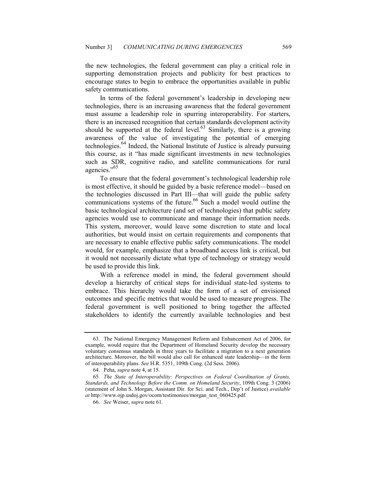the new technologies, the federal government can play a critical role in supporting demonstration projects and publicity for best practices to encourage states to begin to embrace the opportunities available in public safety communications.

In terms of the federal government's leadership in developing new technologies, there is an increasing awareness that the federal government must assume a leadership role in spurring interoperability. For starters, there is an increased recognition that certain standards development activity should be supported at the federal level.<sup>63</sup> Similarly, there is a growing awareness of the value of investigating the potential of emerging technologies.64 Indeed, the National Institute of Justice is already pursuing this course, as it "has made significant investments in new technologies such as SDR, cognitive radio, and satellite communications for rural agencies."<sup>65</sup>

To ensure that the federal government's technological leadership role is most effective, it should be guided by a basic reference model—based on the technologies discussed in Part III—that will guide the public safety communications systems of the future.<sup>66</sup> Such a model would outline the basic technological architecture (and set of technologies) that public safety agencies would use to communicate and manage their information needs. This system, moreover, would leave some discretion to state and local authorities, but would insist on certain requirements and components that are necessary to enable effective public safety communications. The model would, for example, emphasize that a broadband access link is critical, but it would not necessarily dictate what type of technology or strategy would be used to provide this link.

With a reference model in mind, the federal government should develop a hierarchy of critical steps for individual state-led systems to embrace. This hierarchy would take the form of a set of envisioned outcomes and specific metrics that would be used to measure progress. The federal government is well positioned to bring together the affected stakeholders to identify the currently available technologies and best

 <sup>63.</sup> The National Emergency Management Reform and Enhancement Act of 2006, for example, would require that the Department of Homeland Security develop the necessary voluntary consensus standards in three years to facilitate a migration to a next generation architecture. Moreover, the bill would also call for enhanced state leadership—in the form of interoperability plans. See H.R. 5351, 109th Cong. (2d Sess. 2006).

 <sup>64.</sup> Peha, supra note 4, at 15.

<sup>65</sup>. The State of Interoperability: Perspectives on Federal Coordination of Grants, Standards, and Technology Before the Comm. on Homeland Security, 109th Cong. 3 (2006) (statement of John S. Morgan, Assistant Dir. for Sci. and Tech., Dep't of Justice) available at http://www.ojp.usdoj.gov/ocom/testimonies/morgan\_test\_060425.pdf.

 <sup>66.</sup> See Weiser, supra note 61.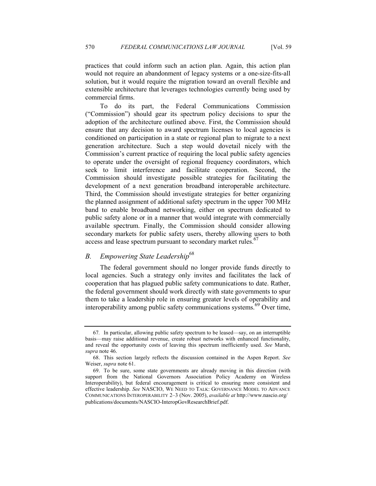practices that could inform such an action plan. Again, this action plan would not require an abandonment of legacy systems or a one-size-fits-all solution, but it would require the migration toward an overall flexible and extensible architecture that leverages technologies currently being used by commercial firms.

To do its part, the Federal Communications Commission ("Commission") should gear its spectrum policy decisions to spur the adoption of the architecture outlined above. First, the Commission should ensure that any decision to award spectrum licenses to local agencies is conditioned on participation in a state or regional plan to migrate to a next generation architecture. Such a step would dovetail nicely with the Commission's current practice of requiring the local public safety agencies to operate under the oversight of regional frequency coordinators, which seek to limit interference and facilitate cooperation. Second, the Commission should investigate possible strategies for facilitating the development of a next generation broadband interoperable architecture. Third, the Commission should investigate strategies for better organizing the planned assignment of additional safety spectrum in the upper 700 MHz band to enable broadband networking, either on spectrum dedicated to public safety alone or in a manner that would integrate with commercially available spectrum. Finally, the Commission should consider allowing secondary markets for public safety users, thereby allowing users to both access and lease spectrum pursuant to secondary market rules.<sup>67</sup>

#### B. Empowering State Leadership<sup>68</sup>

The federal government should no longer provide funds directly to local agencies. Such a strategy only invites and facilitates the lack of cooperation that has plagued public safety communications to date. Rather, the federal government should work directly with state governments to spur them to take a leadership role in ensuring greater levels of operability and interoperability among public safety communications systems.<sup>69</sup> Over time,

<sup>67</sup>. In particular, allowing public safety spectrum to be leased—say, on an interruptible basis—may raise additional revenue, create robust networks with enhanced functionality, and reveal the opportunity costs of leaving this spectrum inefficiently used. See Marsh, supra note 46.

 <sup>68.</sup> This section largely reflects the discussion contained in the Aspen Report. See Weiser, supra note 61.

 <sup>69.</sup> To be sure, some state governments are already moving in this direction (with support from the National Governors Association Policy Academy on Wireless Interoperability), but federal encouragement is critical to ensuring more consistent and effective leadership. See NASCIO, WE NEED TO TALK: GOVERNANCE MODEL TO ADVANCE COMMUNICATIONS INTEROPERABILITY 2–3 (Nov. 2005), available at http://www.nascio.org/ publications/documents/NASCIO-InteropGovResearchBrief.pdf.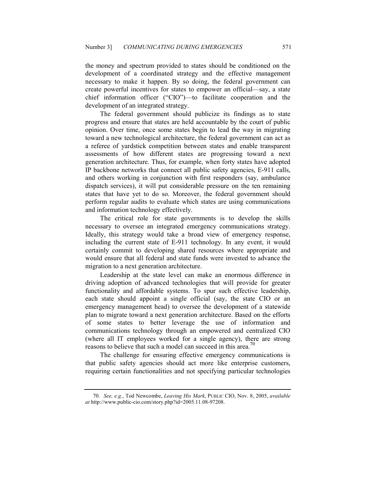the money and spectrum provided to states should be conditioned on the development of a coordinated strategy and the effective management necessary to make it happen. By so doing, the federal government can create powerful incentives for states to empower an official—say, a state chief information officer ("CIO")—to facilitate cooperation and the development of an integrated strategy.

The federal government should publicize its findings as to state progress and ensure that states are held accountable by the court of public opinion. Over time, once some states begin to lead the way in migrating toward a new technological architecture, the federal government can act as a referee of yardstick competition between states and enable transparent assessments of how different states are progressing toward a next generation architecture. Thus, for example, when forty states have adopted IP backbone networks that connect all public safety agencies, E-911 calls, and others working in conjunction with first responders (say, ambulance dispatch services), it will put considerable pressure on the ten remaining states that have yet to do so. Moreover, the federal government should perform regular audits to evaluate which states are using communications and information technology effectively.

The critical role for state governments is to develop the skills necessary to oversee an integrated emergency communications strategy. Ideally, this strategy would take a broad view of emergency response, including the current state of E-911 technology. In any event, it would certainly commit to developing shared resources where appropriate and would ensure that all federal and state funds were invested to advance the migration to a next generation architecture.

Leadership at the state level can make an enormous difference in driving adoption of advanced technologies that will provide for greater functionality and affordable systems. To spur such effective leadership, each state should appoint a single official (say, the state CIO or an emergency management head) to oversee the development of a statewide plan to migrate toward a next generation architecture. Based on the efforts of some states to better leverage the use of information and communications technology through an empowered and centralized CIO (where all IT employees worked for a single agency), there are strong reasons to believe that such a model can succeed in this area.<sup>70</sup>

The challenge for ensuring effective emergency communications is that public safety agencies should act more like enterprise customers, requiring certain functionalities and not specifying particular technologies

<sup>70</sup>. See, e.g., Tod Newcombe, Leaving His Mark, PUBLIC CIO, Nov. 8, 2005, available at http://www.public-cio.com/story.php?id=2005.11.08-97208.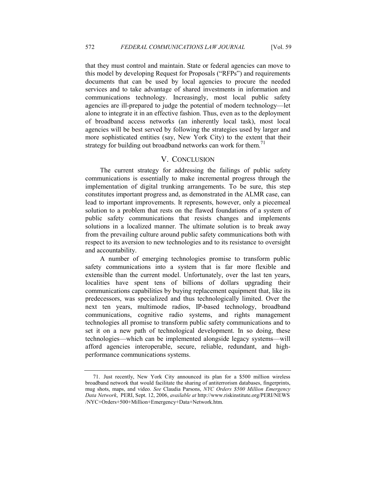that they must control and maintain. State or federal agencies can move to this model by developing Request for Proposals ("RFPs") and requirements documents that can be used by local agencies to procure the needed services and to take advantage of shared investments in information and

communications technology. Increasingly, most local public safety agencies are ill-prepared to judge the potential of modern technology—let alone to integrate it in an effective fashion. Thus, even as to the deployment of broadband access networks (an inherently local task), most local agencies will be best served by following the strategies used by larger and more sophisticated entities (say, New York City) to the extent that their strategy for building out broadband networks can work for them.<sup>71</sup>

### V. CONCLUSION

The current strategy for addressing the failings of public safety communications is essentially to make incremental progress through the implementation of digital trunking arrangements. To be sure, this step constitutes important progress and, as demonstrated in the ALMR case, can lead to important improvements. It represents, however, only a piecemeal solution to a problem that rests on the flawed foundations of a system of public safety communications that resists changes and implements solutions in a localized manner. The ultimate solution is to break away from the prevailing culture around public safety communications both with respect to its aversion to new technologies and to its resistance to oversight and accountability.

A number of emerging technologies promise to transform public safety communications into a system that is far more flexible and extensible than the current model. Unfortunately, over the last ten years, localities have spent tens of billions of dollars upgrading their communications capabilities by buying replacement equipment that, like its predecessors, was specialized and thus technologically limited. Over the next ten years, multimode radios, IP-based technology, broadband communications, cognitive radio systems, and rights management technologies all promise to transform public safety communications and to set it on a new path of technological development. In so doing, these technologies—which can be implemented alongside legacy systems—will afford agencies interoperable, secure, reliable, redundant, and highperformance communications systems.

 <sup>71.</sup> Just recently, New York City announced its plan for a \$500 million wireless broadband network that would facilitate the sharing of antiterrorism databases, fingerprints, mug shots, maps, and video. See Claudia Parsons, NYC Orders \$500 Million Emergency Data Network, PERI, Sept. 12, 2006, available at http://www.riskinstitute.org/PERI/NEWS /NYC+Orders+500+Million+Emergency+Data+Network.htm.